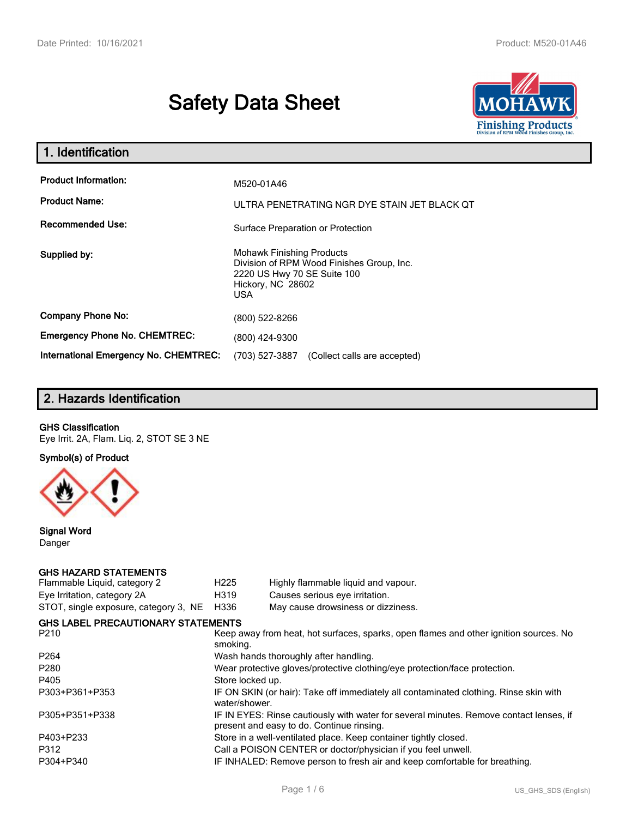# **Safety Data Sheet**



| 1. Identification                                   |                                                                                                                                                 |
|-----------------------------------------------------|-------------------------------------------------------------------------------------------------------------------------------------------------|
| <b>Product Information:</b><br><b>Product Name:</b> | M520-01A46<br>ULTRA PENETRATING NGR DYE STAIN JET BLACK QT                                                                                      |
| <b>Recommended Use:</b>                             | Surface Preparation or Protection                                                                                                               |
| Supplied by:                                        | <b>Mohawk Finishing Products</b><br>Division of RPM Wood Finishes Group, Inc.<br>2220 US Hwy 70 SE Suite 100<br>Hickory, NC 28602<br><b>USA</b> |
| <b>Company Phone No:</b>                            | (800) 522-8266                                                                                                                                  |
| <b>Emergency Phone No. CHEMTREC:</b>                | (800) 424-9300                                                                                                                                  |
| <b>International Emergency No. CHEMTREC:</b>        | (703) 527-3887<br>(Collect calls are accepted)                                                                                                  |

# **2. Hazards Identification**

#### **GHS Classification**

Eye Irrit. 2A, Flam. Liq. 2, STOT SE 3 NE

**Symbol(s) of Product**



**Signal Word** Danger

#### **GHS HAZARD STATEMENTS**

| Flammable Liquid, category 2              | H <sub>225</sub>                                                                                                                    | Highly flammable liquid and vapour.                                                   |  |
|-------------------------------------------|-------------------------------------------------------------------------------------------------------------------------------------|---------------------------------------------------------------------------------------|--|
| Eye Irritation, category 2A               | H319                                                                                                                                | Causes serious eye irritation.                                                        |  |
| STOT, single exposure, category 3, NE     | H336                                                                                                                                | May cause drowsiness or dizziness.                                                    |  |
| <b>GHS LABEL PRECAUTIONARY STATEMENTS</b> |                                                                                                                                     |                                                                                       |  |
| P210                                      | smoking.                                                                                                                            | Keep away from heat, hot surfaces, sparks, open flames and other ignition sources. No |  |
| P <sub>264</sub>                          | Wash hands thoroughly after handling.                                                                                               |                                                                                       |  |
| P <sub>280</sub>                          | Wear protective gloves/protective clothing/eye protection/face protection.                                                          |                                                                                       |  |
| P405                                      | Store locked up.                                                                                                                    |                                                                                       |  |
| P303+P361+P353                            | water/shower.                                                                                                                       | IF ON SKIN (or hair): Take off immediately all contaminated clothing. Rinse skin with |  |
| P305+P351+P338                            | IF IN EYES: Rinse cautiously with water for several minutes. Remove contact lenses, if<br>present and easy to do. Continue rinsing. |                                                                                       |  |
| P403+P233                                 |                                                                                                                                     | Store in a well-ventilated place. Keep container tightly closed.                      |  |
| P312                                      | Call a POISON CENTER or doctor/physician if you feel unwell.                                                                        |                                                                                       |  |
| P304+P340                                 | IF INHALED: Remove person to fresh air and keep comfortable for breathing.                                                          |                                                                                       |  |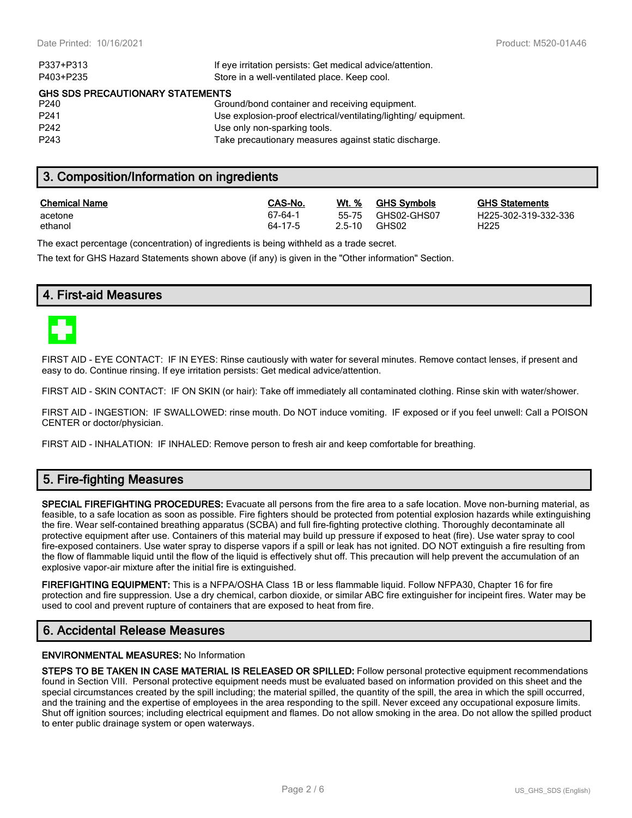| P337+P313                               | If eye irritation persists: Get medical advice/attention.      |  |
|-----------------------------------------|----------------------------------------------------------------|--|
| P403+P235                               | Store in a well-ventilated place. Keep cool.                   |  |
| <b>GHS SDS PRECAUTIONARY STATEMENTS</b> |                                                                |  |
| P <sub>240</sub>                        | Ground/bond container and receiving equipment.                 |  |
| P <sub>241</sub>                        | Use explosion-proof electrical/ventilating/lighting/equipment. |  |
| P <sub>242</sub>                        | Use only non-sparking tools.                                   |  |
| P <sub>243</sub>                        | Take precautionary measures against static discharge.          |  |
|                                         |                                                                |  |

# **3. Composition/Information on ingredients**

| <b>Chemical Name</b> | CAS-No. | Wt. %      | <b>GHS Symbols</b> | <b>GHS</b>       |
|----------------------|---------|------------|--------------------|------------------|
| acetone              | 67-64-1 | $2.5 - 10$ | 55-75 GHS02-GHS07  | H <sub>225</sub> |
| ethanol              | 64-17-5 |            | GHS02              | H225             |

**CHS Statements** H225-302-319-332-336

The exact percentage (concentration) of ingredients is being withheld as a trade secret.

The text for GHS Hazard Statements shown above (if any) is given in the "Other information" Section.

# **4. First-aid Measures**



FIRST AID - EYE CONTACT: IF IN EYES: Rinse cautiously with water for several minutes. Remove contact lenses, if present and easy to do. Continue rinsing. If eye irritation persists: Get medical advice/attention.

FIRST AID - SKIN CONTACT: IF ON SKIN (or hair): Take off immediately all contaminated clothing. Rinse skin with water/shower.

FIRST AID - INGESTION: IF SWALLOWED: rinse mouth. Do NOT induce vomiting. IF exposed or if you feel unwell: Call a POISON CENTER or doctor/physician.

FIRST AID - INHALATION: IF INHALED: Remove person to fresh air and keep comfortable for breathing.

# **5. Fire-fighting Measures**

**SPECIAL FIREFIGHTING PROCEDURES:** Evacuate all persons from the fire area to a safe location. Move non-burning material, as feasible, to a safe location as soon as possible. Fire fighters should be protected from potential explosion hazards while extinguishing the fire. Wear self-contained breathing apparatus (SCBA) and full fire-fighting protective clothing. Thoroughly decontaminate all protective equipment after use. Containers of this material may build up pressure if exposed to heat (fire). Use water spray to cool fire-exposed containers. Use water spray to disperse vapors if a spill or leak has not ignited. DO NOT extinguish a fire resulting from the flow of flammable liquid until the flow of the liquid is effectively shut off. This precaution will help prevent the accumulation of an explosive vapor-air mixture after the initial fire is extinguished.

**FIREFIGHTING EQUIPMENT:** This is a NFPA/OSHA Class 1B or less flammable liquid. Follow NFPA30, Chapter 16 for fire protection and fire suppression. Use a dry chemical, carbon dioxide, or similar ABC fire extinguisher for incipeint fires. Water may be used to cool and prevent rupture of containers that are exposed to heat from fire.

# **6. Accidental Release Measures**

#### **ENVIRONMENTAL MEASURES:** No Information

**STEPS TO BE TAKEN IN CASE MATERIAL IS RELEASED OR SPILLED:** Follow personal protective equipment recommendations found in Section VIII. Personal protective equipment needs must be evaluated based on information provided on this sheet and the special circumstances created by the spill including; the material spilled, the quantity of the spill, the area in which the spill occurred, and the training and the expertise of employees in the area responding to the spill. Never exceed any occupational exposure limits. Shut off ignition sources; including electrical equipment and flames. Do not allow smoking in the area. Do not allow the spilled product to enter public drainage system or open waterways.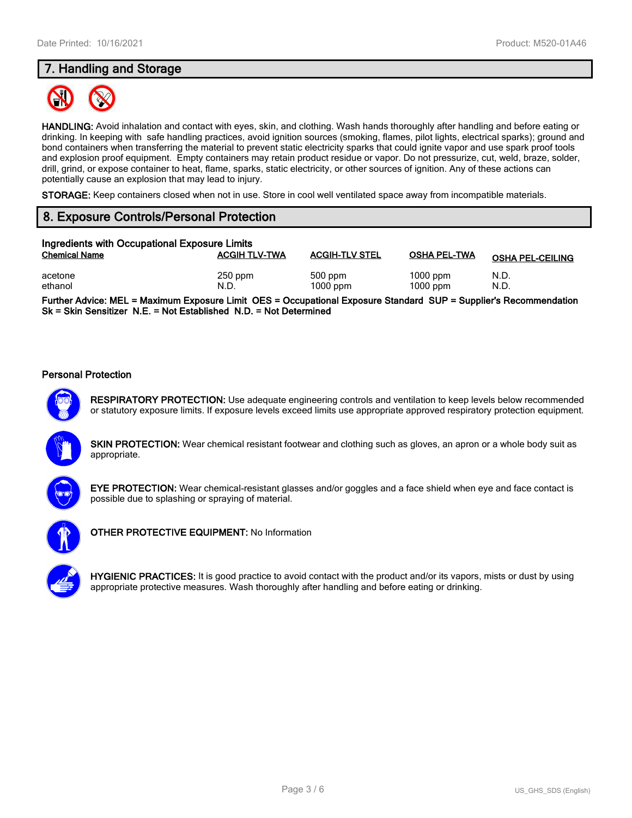# **7. Handling and Storage**



**HANDLING:** Avoid inhalation and contact with eyes, skin, and clothing. Wash hands thoroughly after handling and before eating or drinking. In keeping with safe handling practices, avoid ignition sources (smoking, flames, pilot lights, electrical sparks); ground and bond containers when transferring the material to prevent static electricity sparks that could ignite vapor and use spark proof tools and explosion proof equipment. Empty containers may retain product residue or vapor. Do not pressurize, cut, weld, braze, solder, drill, grind, or expose container to heat, flame, sparks, static electricity, or other sources of ignition. Any of these actions can potentially cause an explosion that may lead to injury.

**STORAGE:** Keep containers closed when not in use. Store in cool well ventilated space away from incompatible materials.

# **8. Exposure Controls/Personal Protection**

| Ingredients with Occupational Exposure Limits |                      |                         |                          |                         |
|-----------------------------------------------|----------------------|-------------------------|--------------------------|-------------------------|
| <b>Chemical Name</b>                          | <b>ACGIH TLV-TWA</b> | <b>ACGIH-TLV STEL</b>   | <b>OSHA PEL-TWA</b>      | <b>OSHA PEL-CEILING</b> |
| acetone<br>ethanol                            | $250$ ppm<br>N.D.    | $500$ ppm<br>$1000$ ppm | $1000$ ppm<br>$1000$ ppm | N.D.<br>N.D.            |

**Further Advice: MEL = Maximum Exposure Limit OES = Occupational Exposure Standard SUP = Supplier's Recommendation Sk = Skin Sensitizer N.E. = Not Established N.D. = Not Determined**

#### **Personal Protection**



**RESPIRATORY PROTECTION:** Use adequate engineering controls and ventilation to keep levels below recommended or statutory exposure limits. If exposure levels exceed limits use appropriate approved respiratory protection equipment.

**SKIN PROTECTION:** Wear chemical resistant footwear and clothing such as gloves, an apron or a whole body suit as appropriate.



**EYE PROTECTION:** Wear chemical-resistant glasses and/or goggles and a face shield when eye and face contact is possible due to splashing or spraying of material.



**OTHER PROTECTIVE EQUIPMENT:** No Information



**HYGIENIC PRACTICES:** It is good practice to avoid contact with the product and/or its vapors, mists or dust by using appropriate protective measures. Wash thoroughly after handling and before eating or drinking.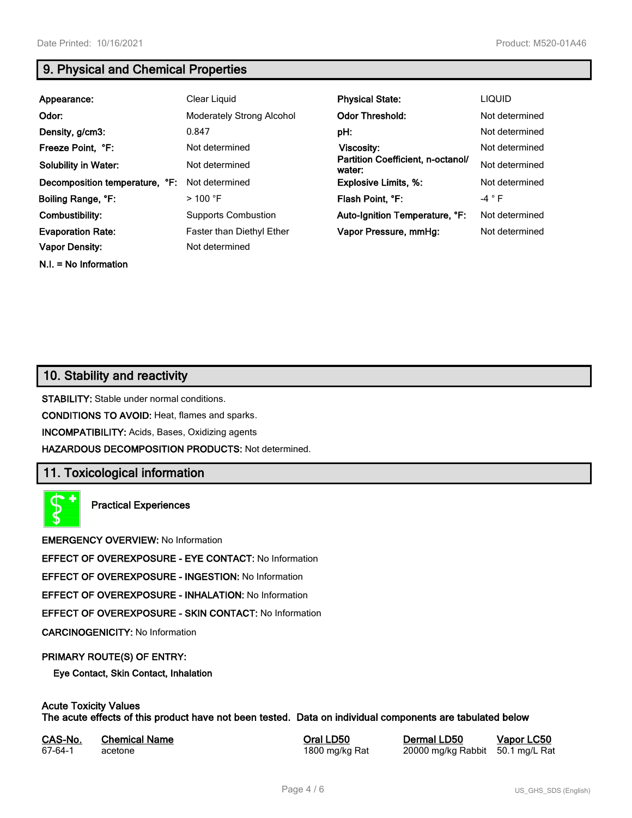**N.I. = No Information**

# **9. Physical and Chemical Properties**

| Appearance:                    | Clear Liquid                     | <b>Physical State:</b>                      | <b>LIQUID</b>  |
|--------------------------------|----------------------------------|---------------------------------------------|----------------|
| Odor:                          | <b>Moderately Strong Alcohol</b> | <b>Odor Threshold:</b>                      | Not determined |
| Density, g/cm3:                | 0.847                            | pH:                                         | Not determined |
| Freeze Point, °F:              | Not determined                   | Viscosity:                                  | Not determined |
| <b>Solubility in Water:</b>    | Not determined                   | Partition Coefficient, n-octanol/<br>water: | Not determined |
| Decomposition temperature, °F: | Not determined                   | <b>Explosive Limits, %:</b>                 | Not determined |
| Boiling Range, °F:             | $>100$ °F                        | Flash Point, °F:                            | $-4$ $\circ$ F |
| Combustibility:                | <b>Supports Combustion</b>       | Auto-Ignition Temperature, °F:              | Not determined |
| <b>Evaporation Rate:</b>       | <b>Faster than Diethyl Ether</b> | Vapor Pressure, mmHq:                       | Not determined |
| Vapor Density:                 | Not determined                   |                                             |                |

# **10. Stability and reactivity**

**STABILITY:** Stable under normal conditions.

**CONDITIONS TO AVOID:** Heat, flames and sparks.

**INCOMPATIBILITY:** Acids, Bases, Oxidizing agents

**HAZARDOUS DECOMPOSITION PRODUCTS:** Not determined.

# **11. Toxicological information**

**Practical Experiences**

**EMERGENCY OVERVIEW:** No Information

**EFFECT OF OVEREXPOSURE - EYE CONTACT:** No Information

**EFFECT OF OVEREXPOSURE - INGESTION:** No Information

**EFFECT OF OVEREXPOSURE - INHALATION:** No Information

**EFFECT OF OVEREXPOSURE - SKIN CONTACT:** No Information

**CARCINOGENICITY:** No Information

#### **PRIMARY ROUTE(S) OF ENTRY:**

**Eye Contact, Skin Contact, Inhalation**

# **Acute Toxicity Values**

**The acute effects of this product have not been tested. Data on individual components are tabulated below**

| CAS-No. | <b>Chemical Name</b> |
|---------|----------------------|
| 67-64-1 | acetone              |

**Casary Chemical Chemical LD50 Chemical LD50 Vapor LC50** 1800 mg/kg Rat 20000 mg/kg Rabbit 50.1 mg/L Rat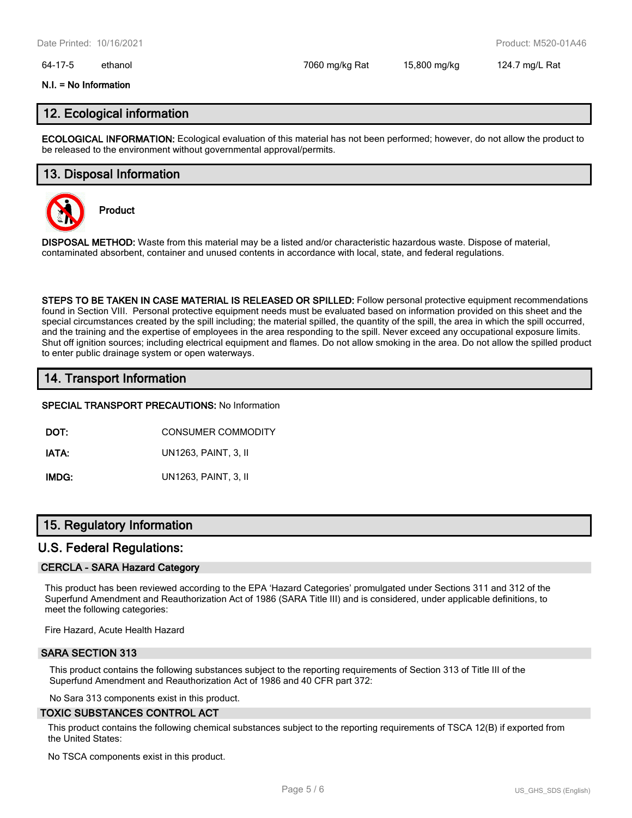#### 64-17-5 ethanol 7060 mg/kg Rat 15,800 mg/kg 124.7 mg/L Rat

#### **N.I. = No Information**

### **12. Ecological information**

**ECOLOGICAL INFORMATION:** Ecological evaluation of this material has not been performed; however, do not allow the product to be released to the environment without governmental approval/permits.

### **13. Disposal Information**



**Product**

**DISPOSAL METHOD:** Waste from this material may be a listed and/or characteristic hazardous waste. Dispose of material, contaminated absorbent, container and unused contents in accordance with local, state, and federal regulations.

**STEPS TO BE TAKEN IN CASE MATERIAL IS RELEASED OR SPILLED:** Follow personal protective equipment recommendations found in Section VIII. Personal protective equipment needs must be evaluated based on information provided on this sheet and the special circumstances created by the spill including; the material spilled, the quantity of the spill, the area in which the spill occurred, and the training and the expertise of employees in the area responding to the spill. Never exceed any occupational exposure limits. Shut off ignition sources; including electrical equipment and flames. Do not allow smoking in the area. Do not allow the spilled product to enter public drainage system or open waterways.

# **14. Transport Information**

#### **SPECIAL TRANSPORT PRECAUTIONS:** No Information

**DOT:** CONSUMER COMMODITY

**IATA:** UN1263, PAINT, 3, II

**IMDG:** UN1263, PAINT, 3, II

# **15. Regulatory Information**

#### **U.S. Federal Regulations:**

#### **CERCLA - SARA Hazard Category**

This product has been reviewed according to the EPA 'Hazard Categories' promulgated under Sections 311 and 312 of the Superfund Amendment and Reauthorization Act of 1986 (SARA Title III) and is considered, under applicable definitions, to meet the following categories:

Fire Hazard, Acute Health Hazard

#### **SARA SECTION 313**

This product contains the following substances subject to the reporting requirements of Section 313 of Title III of the Superfund Amendment and Reauthorization Act of 1986 and 40 CFR part 372:

No Sara 313 components exist in this product.

#### **TOXIC SUBSTANCES CONTROL ACT**

This product contains the following chemical substances subject to the reporting requirements of TSCA 12(B) if exported from the United States:

No TSCA components exist in this product.